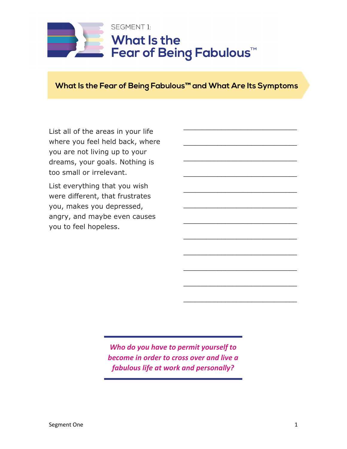

## **What Is the Fear of Being Fabulous™ and What Are Its Symptoms**

\_\_\_\_\_\_\_\_\_\_\_\_\_\_\_\_\_\_\_\_\_\_\_\_\_\_\_\_\_\_

\_\_\_\_\_\_\_\_\_\_\_\_\_\_\_\_\_\_\_\_\_\_\_\_\_\_\_\_\_\_

\_\_\_\_\_\_\_\_\_\_\_\_\_\_\_\_\_\_\_\_\_\_\_\_\_\_\_\_\_\_

\_\_\_\_\_\_\_\_\_\_\_\_\_\_\_\_\_\_\_\_\_\_\_\_\_\_\_\_\_\_

\_\_\_\_\_\_\_\_\_\_\_\_\_\_\_\_\_\_\_\_\_\_\_\_\_\_\_\_\_\_

\_\_\_\_\_\_\_\_\_\_\_\_\_\_\_\_\_\_\_\_\_\_\_\_\_\_\_\_\_\_

\_\_\_\_\_\_\_\_\_\_\_\_\_\_\_\_\_\_\_\_\_\_\_\_\_\_\_\_\_\_

\_\_\_\_\_\_\_\_\_\_\_\_\_\_\_\_\_\_\_\_\_\_\_\_\_\_\_\_\_\_

\_\_\_\_\_\_\_\_\_\_\_\_\_\_\_\_\_\_\_\_\_\_\_\_\_\_\_\_\_\_

\_\_\_\_\_\_\_\_\_\_\_\_\_\_\_\_\_\_\_\_\_\_\_\_\_\_\_\_\_\_

\_\_\_\_\_\_\_\_\_\_\_\_\_\_\_\_\_\_\_\_\_\_\_\_\_\_\_\_\_\_

\_\_\_\_\_\_\_\_\_\_\_\_\_\_\_\_\_\_\_\_\_\_\_\_\_\_\_\_\_\_

List all of the areas in your life where you feel held back, where you are not living up to your dreams, your goals. Nothing is too small or irrelevant.

List everything that you wish were different, that frustrates you, makes you depressed, angry, and maybe even causes you to feel hopeless.

> *Who do you have to permit yourself to become in order to cross over and live a fabulous life at work and personally?*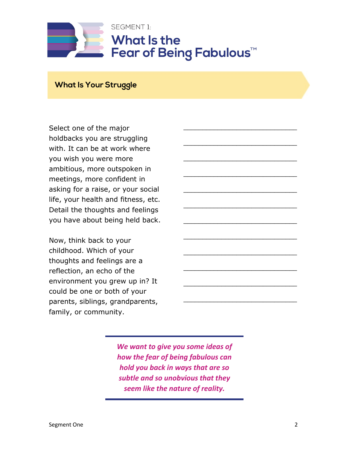

\_\_\_\_\_\_\_\_\_\_\_\_\_\_\_\_\_\_\_\_\_\_\_\_\_\_\_\_\_\_

\_\_\_\_\_\_\_\_\_\_\_\_\_\_\_\_\_\_\_\_\_\_\_\_\_\_\_\_\_\_

\_\_\_\_\_\_\_\_\_\_\_\_\_\_\_\_\_\_\_\_\_\_\_\_\_\_\_\_\_\_

\_\_\_\_\_\_\_\_\_\_\_\_\_\_\_\_\_\_\_\_\_\_\_\_\_\_\_\_\_\_

\_\_\_\_\_\_\_\_\_\_\_\_\_\_\_\_\_\_\_\_\_\_\_\_\_\_\_\_\_\_

\_\_\_\_\_\_\_\_\_\_\_\_\_\_\_\_\_\_\_\_\_\_\_\_\_\_\_\_\_\_

\_\_\_\_\_\_\_\_\_\_\_\_\_\_\_\_\_\_\_\_\_\_\_\_\_\_\_\_\_\_

\_\_\_\_\_\_\_\_\_\_\_\_\_\_\_\_\_\_\_\_\_\_\_\_\_\_\_\_\_\_

\_\_\_\_\_\_\_\_\_\_\_\_\_\_\_\_\_\_\_\_\_\_\_\_\_\_\_\_\_\_

\_\_\_\_\_\_\_\_\_\_\_\_\_\_\_\_\_\_\_\_\_\_\_\_\_\_\_\_\_\_

\_\_\_\_\_\_\_\_\_\_\_\_\_\_\_\_\_\_\_\_\_\_\_\_\_\_\_\_\_\_

**What Is Your Struggle**

Select one of the major holdbacks you are struggling with. It can be at work where you wish you were more ambitious, more outspoken in meetings, more confident in asking for a raise, or your social life, your health and fitness, etc. Detail the thoughts and feelings you have about being held back.

Now, think back to your childhood. Which of your thoughts and feelings are a reflection, an echo of the environment you grew up in? It could be one or both of your parents, siblings, grandparents, family, or community.

> *We want to give you some ideas of how the fear of being fabulous can hold you back in ways that are so subtle and so unobvious that they seem like the nature of reality.*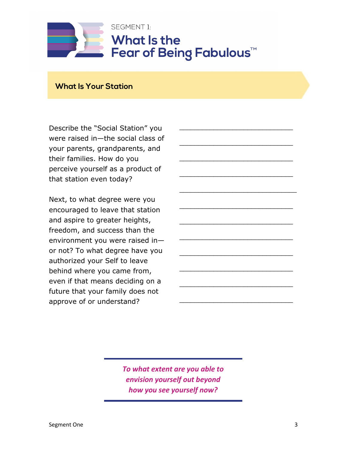

\_\_\_\_\_\_\_\_\_\_\_\_\_\_\_\_\_\_\_\_\_\_\_\_\_\_\_\_\_\_

\_\_\_\_\_\_\_\_\_\_\_\_\_\_\_\_\_\_\_\_\_\_\_\_\_\_\_\_\_\_

\_\_\_\_\_\_\_\_\_\_\_\_\_\_\_\_\_\_\_\_\_\_\_\_\_\_\_\_\_\_

\_\_\_\_\_\_\_\_\_\_\_\_\_\_\_\_\_\_\_\_\_\_\_\_\_\_\_\_\_\_\_

\_\_\_\_\_\_\_\_\_\_\_\_\_\_\_\_\_\_\_\_\_\_\_\_\_\_\_\_\_\_

\_\_\_\_\_\_\_\_\_\_\_\_\_\_\_\_\_\_\_\_\_\_\_\_\_\_\_\_\_\_

\_\_\_\_\_\_\_\_\_\_\_\_\_\_\_\_\_\_\_\_\_\_\_\_\_\_\_\_\_\_

\_\_\_\_\_\_\_\_\_\_\_\_\_\_\_\_\_\_\_\_\_\_\_\_\_\_\_\_\_\_

\_\_\_\_\_\_\_\_\_\_\_\_\_\_\_\_\_\_\_\_\_\_\_\_\_\_\_\_\_\_

\_\_\_\_\_\_\_\_\_\_\_\_\_\_\_\_\_\_\_\_\_\_\_\_\_\_\_\_\_\_

\_\_\_\_\_\_\_\_\_\_\_\_\_\_\_\_\_\_\_\_\_\_\_\_\_\_\_\_\_\_

**What Is Your Station**

Describe the "Social Station" you were raised in—the social class of your parents, grandparents, and their families. How do you perceive yourself as a product of that station even today?

Next, to what degree were you encouraged to leave that station and aspire to greater heights, freedom, and success than the environment you were raised in or not? To what degree have you authorized your Self to leave behind where you came from, even if that means deciding on a future that your family does not approve of or understand?

> *To what extent are you able to envision yourself out beyond how you see yourself now?*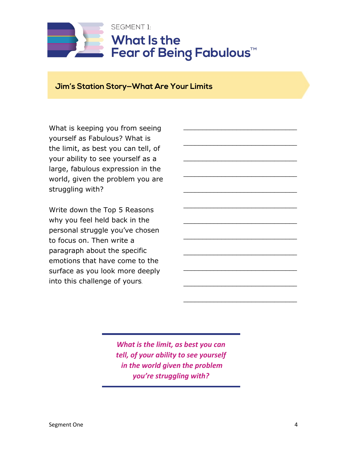

\_\_\_\_\_\_\_\_\_\_\_\_\_\_\_\_\_\_\_\_\_\_\_\_\_\_\_\_\_\_

\_\_\_\_\_\_\_\_\_\_\_\_\_\_\_\_\_\_\_\_\_\_\_\_\_\_\_\_\_\_

\_\_\_\_\_\_\_\_\_\_\_\_\_\_\_\_\_\_\_\_\_\_\_\_\_\_\_\_\_\_

\_\_\_\_\_\_\_\_\_\_\_\_\_\_\_\_\_\_\_\_\_\_\_\_\_\_\_\_\_\_

\_\_\_\_\_\_\_\_\_\_\_\_\_\_\_\_\_\_\_\_\_\_\_\_\_\_\_\_\_\_

\_\_\_\_\_\_\_\_\_\_\_\_\_\_\_\_\_\_\_\_\_\_\_\_\_\_\_\_\_\_

\_\_\_\_\_\_\_\_\_\_\_\_\_\_\_\_\_\_\_\_\_\_\_\_\_\_\_\_\_\_

\_\_\_\_\_\_\_\_\_\_\_\_\_\_\_\_\_\_\_\_\_\_\_\_\_\_\_\_\_\_

\_\_\_\_\_\_\_\_\_\_\_\_\_\_\_\_\_\_\_\_\_\_\_\_\_\_\_\_\_\_

\_\_\_\_\_\_\_\_\_\_\_\_\_\_\_\_\_\_\_\_\_\_\_\_\_\_\_\_\_\_

\_\_\_\_\_\_\_\_\_\_\_\_\_\_\_\_\_\_\_\_\_\_\_\_\_\_\_\_\_\_

## **Jim's Station Story—What Are Your Limits**

What is keeping you from seeing yourself as Fabulous? What is the limit, as best you can tell, of your ability to see yourself as a large, fabulous expression in the world, given the problem you are struggling with?

Write down the Top 5 Reasons why you feel held back in the personal struggle you've chosen to focus on. Then write a paragraph about the specific emotions that have come to the surface as you look more deeply into this challenge of yours.

> *What is the limit, as best you can tell, of your ability to see yourself in the world given the problem you're struggling with?*